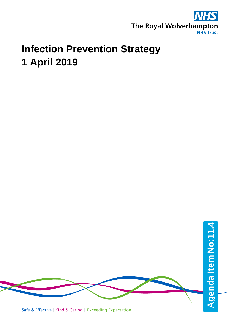

# **Infection Prevention Strategy 1 April 2019**

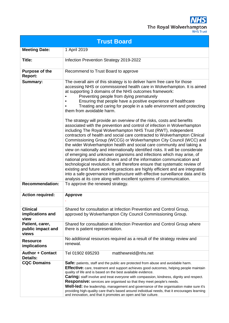**NHS** The Royal Wolverhampton

| <b>Trust Board</b>                            |                                                                                                                                                                                                                                                                                                                                                                                                                                                                                                                                                                                                                                                                                                                                                                                                                                                                                                                                                                                                                                                                                                                                                                                                                                                                                                                                                                                                                                                     |  |  |  |
|-----------------------------------------------|-----------------------------------------------------------------------------------------------------------------------------------------------------------------------------------------------------------------------------------------------------------------------------------------------------------------------------------------------------------------------------------------------------------------------------------------------------------------------------------------------------------------------------------------------------------------------------------------------------------------------------------------------------------------------------------------------------------------------------------------------------------------------------------------------------------------------------------------------------------------------------------------------------------------------------------------------------------------------------------------------------------------------------------------------------------------------------------------------------------------------------------------------------------------------------------------------------------------------------------------------------------------------------------------------------------------------------------------------------------------------------------------------------------------------------------------------------|--|--|--|
| <b>Meeting Date:</b>                          | 1 April 2019                                                                                                                                                                                                                                                                                                                                                                                                                                                                                                                                                                                                                                                                                                                                                                                                                                                                                                                                                                                                                                                                                                                                                                                                                                                                                                                                                                                                                                        |  |  |  |
| Title:                                        | Infection Prevention Strategy 2019-2022                                                                                                                                                                                                                                                                                                                                                                                                                                                                                                                                                                                                                                                                                                                                                                                                                                                                                                                                                                                                                                                                                                                                                                                                                                                                                                                                                                                                             |  |  |  |
| <b>Purpose of the</b><br>Report:              | Recommend to Trust Board to approve                                                                                                                                                                                                                                                                                                                                                                                                                                                                                                                                                                                                                                                                                                                                                                                                                                                                                                                                                                                                                                                                                                                                                                                                                                                                                                                                                                                                                 |  |  |  |
| <b>Summary:</b>                               | The overall aim of this strategy is to deliver harm free care for those<br>accessing NHS or commissioned health care in Wolverhampton. It is aimed<br>at supporting 3 domains of the NHS outcomes framework:<br>Preventing people from dying prematurely<br>Ensuring that people have a positive experience of healthcare<br>Treating and caring for people in a safe environment and protecting<br>them from avoidable harm.<br>The strategy will provide an overview of the risks, costs and benefits<br>associated with the prevention and control of infection in Wolverhampton<br>including The Royal Wolverhampton NHS Trust (RWT), independent<br>contractors of health and social care contracted to Wolverhampton Clinical<br>Commissioning Group (WCCG) or Wolverhampton City Council (WCC) and<br>the wider Wolverhampton health and social care community and taking a<br>view on nationally and internationally identified risks. It will be considerate<br>of emerging and unknown organisms and infections which may arise, of<br>national priorities and drivers and of the information communication and<br>technological revolution. It will therefore ensure that systematic review of<br>existing and future working practices are highly efficient and are integrated<br>into a safe governance infrastructure with effective surveillance data and its<br>analysis at its core along with excellent systems of communication. |  |  |  |
| <b>Recommendation:</b>                        | To approve the renewed strategy.                                                                                                                                                                                                                                                                                                                                                                                                                                                                                                                                                                                                                                                                                                                                                                                                                                                                                                                                                                                                                                                                                                                                                                                                                                                                                                                                                                                                                    |  |  |  |
| <b>Action required:</b>                       | <b>Approve</b>                                                                                                                                                                                                                                                                                                                                                                                                                                                                                                                                                                                                                                                                                                                                                                                                                                                                                                                                                                                                                                                                                                                                                                                                                                                                                                                                                                                                                                      |  |  |  |
| <b>Clinical</b><br>implications and<br>view   | Shared for consultation at Infection Prevention and Control Group,<br>approved by Wolverhampton City Council Commissioning Group.                                                                                                                                                                                                                                                                                                                                                                                                                                                                                                                                                                                                                                                                                                                                                                                                                                                                                                                                                                                                                                                                                                                                                                                                                                                                                                                   |  |  |  |
| Patient, carer,<br>public impact and<br>views | Shared for consultation at Infection Prevention and Control Group where<br>there is patient representation.                                                                                                                                                                                                                                                                                                                                                                                                                                                                                                                                                                                                                                                                                                                                                                                                                                                                                                                                                                                                                                                                                                                                                                                                                                                                                                                                         |  |  |  |
| <b>Resource</b><br>implications               | No additional resources required as a result of the strategy review and<br>renewal.                                                                                                                                                                                                                                                                                                                                                                                                                                                                                                                                                                                                                                                                                                                                                                                                                                                                                                                                                                                                                                                                                                                                                                                                                                                                                                                                                                 |  |  |  |
| <b>Author + Contact</b><br><b>Details:</b>    | matthewreid@nhs.net<br>Tel 01902 695293                                                                                                                                                                                                                                                                                                                                                                                                                                                                                                                                                                                                                                                                                                                                                                                                                                                                                                                                                                                                                                                                                                                                                                                                                                                                                                                                                                                                             |  |  |  |
| <b>CQC Domains</b>                            | Safe: patients, staff and the public are protected from abuse and avoidable harm.<br>Effective: care, treatment and support achieves good outcomes, helping people maintain<br>quality of life and is based on the best available evidence.<br><b>Caring:</b> staff involve and treat everyone with compassion, kindness, dignity and respect.<br><b>Responsive:</b> services are organised so that they meet people's needs.<br>Well-led: the leadership, management and governance of the organisation make sure it's<br>providing high-quality care that's based around individual needs, that it encourages learning<br>and innovation, and that it promotes an open and fair culture.                                                                                                                                                                                                                                                                                                                                                                                                                                                                                                                                                                                                                                                                                                                                                          |  |  |  |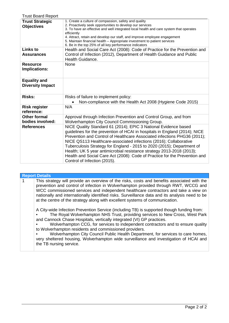| <b>Trust Board Report</b>                      |                                                                                                                                                                                                                                                                                                                                                                                                                                                                                                                                                                 |
|------------------------------------------------|-----------------------------------------------------------------------------------------------------------------------------------------------------------------------------------------------------------------------------------------------------------------------------------------------------------------------------------------------------------------------------------------------------------------------------------------------------------------------------------------------------------------------------------------------------------------|
| <b>Trust Strategic</b><br><b>Objectives</b>    | 1. Create a culture of compassion, safety and quality<br>2. Proactively seek opportunities to develop our services<br>3. To have an effective and well integrated local health and care system that operates<br>efficiently<br>4. Attract, retain and develop our staff, and improve employee engagement<br>5. Maintain financial health – Appropriate investment to patient services<br>6. Be in the top 25% of all key performance indicators                                                                                                                 |
| <b>Links to</b><br><b>Assurances</b>           | Health and Social Care Act (2008): Code of Practice for the Prevention and<br>Control of Infection (2012), Department of Health Guidance and Public<br>Health Guidance.                                                                                                                                                                                                                                                                                                                                                                                         |
| <b>Resource</b><br><b>Implications:</b>        | <b>None</b>                                                                                                                                                                                                                                                                                                                                                                                                                                                                                                                                                     |
| <b>Equality and</b><br><b>Diversity Impact</b> |                                                                                                                                                                                                                                                                                                                                                                                                                                                                                                                                                                 |
| <b>Risks:</b>                                  | Risks of failure to implement policy:<br>Non-compliance with the Health Act 2008 (Hygiene Code 2015)                                                                                                                                                                                                                                                                                                                                                                                                                                                            |
| <b>Risk register</b><br>reference:             | N/A                                                                                                                                                                                                                                                                                                                                                                                                                                                                                                                                                             |
| <b>Other formal</b><br>bodies involved:        | Approval through Infection Prevention and Control Group, and from<br>Wolverhampton City Council Commissioning Group.                                                                                                                                                                                                                                                                                                                                                                                                                                            |
| <b>References</b>                              | NICE Quality Standard 61 (2014); EPIC 3 National Evidence based<br>guidelines for the prevention of HCAI in hospitals in England (2014); NICE<br>Prevention and Control of Healthcare Associated infections PHG36 (2011);<br>NICE QS113 Healthcare-associated infections (2016); Collaborative<br>Tuberculosis Strategy for England - 2015 to 2020 (2015); Department of<br>Health; UK 5 year antimicrobial resistance strategy 2013-2018 (2013);<br>Health and Social Care Act (2008): Code of Practice for the Prevention and<br>Control of Infection (2015). |

|  | <b>Report Details</b>                                                                                                                                                                                                                                                                                                                                                                                                                                                                                                                                                                                     |
|--|-----------------------------------------------------------------------------------------------------------------------------------------------------------------------------------------------------------------------------------------------------------------------------------------------------------------------------------------------------------------------------------------------------------------------------------------------------------------------------------------------------------------------------------------------------------------------------------------------------------|
|  | This strategy will provide an overview of the risks, costs and benefits associated with the<br>prevention and control of infection in Wolverhampton provided through RWT, WCCG and<br>WCC commissioned services and independent healthcare contractors and take a view on<br>nationally and internationally identified risks. Surveillance data and its analysis need to be<br>at the centre of the strategy along with excellent systems of communication.                                                                                                                                               |
|  | A City-wide Infection Prevention Service (including TB) is supported though funding from:<br>The Royal Wolverhampton NHS Trust, providing services to New Cross, West Park<br>and Cannock Chase Hospitals, vertically integrated (VI) GP practices.<br>Wolverhampton CCG, for services to independent contractors and to ensure quality<br>to Wolverhampton residents and commissioned providers.<br>Wolverhampton City Council Public Health Department, for services to care homes,<br>very sheltered housing, Wolverhampton wide surveillance and investigation of HCAI and<br>the TB nursing service. |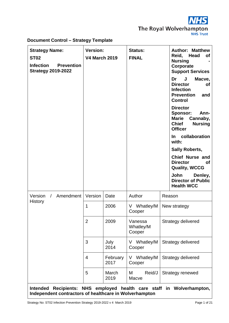

# **Document Control – Strategy Template**

| <b>Strategy Name:</b><br><b>ST02</b><br><b>Infection</b><br><b>Prevention</b><br><b>Strategy 2019-2022</b> | <b>Version:</b><br><b>V4 March 2019</b> |                  | <b>Status:</b><br><b>FINAL</b> |                           | <b>Author: Matthew</b><br>Reid, Head<br><b>of</b><br><b>Nursing</b><br>Corporate<br><b>Support Services</b><br>J<br>Macve,<br>Dr<br><b>Director</b><br>οf<br><b>Infection</b><br><b>Prevention</b><br>and<br><b>Control</b><br><b>Director</b><br><b>Sponsor:</b><br>Ann-<br><b>Marie</b><br>Cannaby,<br><b>Chief</b><br><b>Nursing</b><br><b>Officer</b><br>collaboration<br>In.<br>with:<br><b>Sally Roberts,</b><br><b>Chief Nurse and</b><br><b>Director</b><br>οf<br><b>Quality, WCCG</b><br>John<br>Denley,<br><b>Director of Public</b> |
|------------------------------------------------------------------------------------------------------------|-----------------------------------------|------------------|--------------------------------|---------------------------|------------------------------------------------------------------------------------------------------------------------------------------------------------------------------------------------------------------------------------------------------------------------------------------------------------------------------------------------------------------------------------------------------------------------------------------------------------------------------------------------------------------------------------------------|
| Amendment<br>Version<br>$\sqrt{2}$                                                                         | Version                                 | Date             | Author                         |                           | <b>Health WCC</b><br>Reason                                                                                                                                                                                                                                                                                                                                                                                                                                                                                                                    |
| History                                                                                                    | $\mathbf{1}$                            | 2006             | V Whatley/M<br>Cooper          |                           | New strategy                                                                                                                                                                                                                                                                                                                                                                                                                                                                                                                                   |
|                                                                                                            | $\overline{2}$                          | 2009             | Vanessa<br>Whatley/M<br>Cooper | <b>Strategy delivered</b> |                                                                                                                                                                                                                                                                                                                                                                                                                                                                                                                                                |
|                                                                                                            | 3                                       | July<br>2014     | V Whatley/M<br>Cooper          | Strategy delivered        |                                                                                                                                                                                                                                                                                                                                                                                                                                                                                                                                                |
|                                                                                                            | 4                                       | February<br>2017 | V Whatley/M<br>Cooper          |                           | Strategy delivered                                                                                                                                                                                                                                                                                                                                                                                                                                                                                                                             |
|                                                                                                            | 5                                       | March<br>2019    | Reid/J<br>M<br>Macve           |                           | Strategy renewed                                                                                                                                                                                                                                                                                                                                                                                                                                                                                                                               |
| <b>Intended</b><br>Independent contractors of healthcare in Wolverhampton                                  |                                         |                  |                                |                           | Recipients: NHS employed health care staff in Wolverhampton,                                                                                                                                                                                                                                                                                                                                                                                                                                                                                   |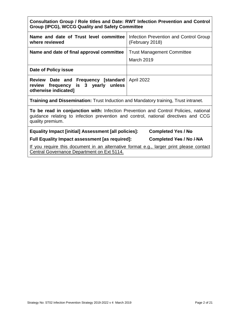| Consultation Group / Role titles and Date: RWT Infection Prevention and Control |  |  |
|---------------------------------------------------------------------------------|--|--|
| Group (IPCG), WCCG Quality and Safety Committee                                 |  |  |

| Name and date of Trust level committee<br>where reviewed                                                                                                                                      | Infection Prevention and Control Group<br>(February 2018) |  |
|-----------------------------------------------------------------------------------------------------------------------------------------------------------------------------------------------|-----------------------------------------------------------|--|
| Name and date of final approval committee                                                                                                                                                     | <b>Trust Management Committee</b><br>March 2019           |  |
| Date of Policy issue                                                                                                                                                                          |                                                           |  |
| Review Date and Frequency [standard]<br>review frequency is 3 yearly unless<br>otherwise indicated]                                                                                           | April 2022                                                |  |
| <b>Training and Dissemination:</b> Trust Induction and Mandatory training, Trust intranet.                                                                                                    |                                                           |  |
| To be read in conjunction with: Infection Prevention and Control Policies, national<br>guidance relating to infection prevention and control, national directives and CCG<br>quality premium. |                                                           |  |
| <b>Equality Impact [initial] Assessment [all policies]:</b><br><b>Completed Yes / No</b>                                                                                                      |                                                           |  |

**Full Equality Impact assessment [as required]: Completed Yes / No / NA**

If you require this document in an alternative format e.g., larger print please contact Central Governance Department on Ext 5114.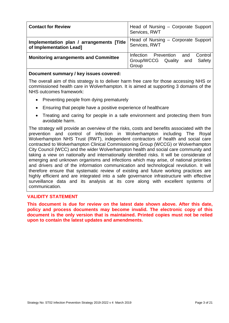| <b>Contact for Review</b>                                            | Head of Nursing - Corporate Support<br>Services, RWT                             |
|----------------------------------------------------------------------|----------------------------------------------------------------------------------|
| Implementation plan / arrangements [Title<br>of Implementation Lead] | Head of Nursing – Corporate Support<br>Services, RWT                             |
| <b>Monitoring arrangements and Committee</b>                         | Infection<br>Control<br>Prevention and<br>Group/WCCG Quality and Safety<br>Group |

#### **Document summary / key issues covered:**

The overall aim of this strategy is to deliver harm free care for those accessing NHS or commissioned health care in Wolverhampton. It is aimed at supporting 3 domains of the NHS outcomes framework:

- Preventing people from dying prematurely
- Ensuring that people have a positive experience of healthcare
- Treating and caring for people in a safe environment and protecting them from avoidable harm.

The strategy will provide an overview of the risks, costs and benefits associated with the prevention and control of infection in Wolverhampton including The Royal Wolverhampton NHS Trust (RWT), independent contractors of health and social care contracted to Wolverhampton Clinical Commissioning Group (WCCG) or Wolverhampton City Council (WCC) and the wider Wolverhampton health and social care community and taking a view on nationally and internationally identified risks. It will be considerate of emerging and unknown organisms and infections which may arise, of national priorities and drivers and of the information communication and technological revolution. It will therefore ensure that systematic review of existing and future working practices are highly efficient and are integrated into a safe governance infrastructure with effective surveillance data and its analysis at its core along with excellent systems of communication.

# **VALIDITY STATEMENT**

**This document is due for review on the latest date shown above. After this date, policy and process documents may become invalid. The electronic copy of this document is the only version that is maintained. Printed copies must not be relied upon to contain the latest updates and amendments.**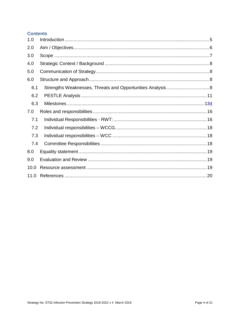# **Contents**

| 1.0  |  |
|------|--|
| 2.0  |  |
| 3.0  |  |
| 4.0  |  |
| 5.0  |  |
| 6.0  |  |
| 6.1  |  |
| 6.2  |  |
| 6.3  |  |
| 7.0  |  |
| 7.1  |  |
| 7.2  |  |
| 7.3  |  |
| 7.4  |  |
| 8.0  |  |
| 9.0  |  |
| 10.0 |  |
| 11.0 |  |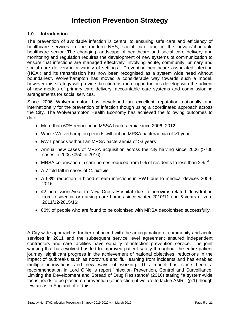# **Infection Prevention Strategy**

#### <span id="page-7-0"></span>**1.0 Introduction**

The prevention of avoidable infection is central to ensuring safe care and efficiency of healthcare services in the modern NHS, social care and in the private/charitable healthcare sector. The changing landscape of healthcare and social care delivery and monitoring and regulation requires the development of new systems of communication to ensure that infections are managed effectively, involving acute, community, primary and social care delivery in a variety of settings. Preventing healthcare associated infection (HCAI) and its transmission has now been recognised as a system wide need without boundaries<sup>1</sup>. Wolverhampton has moved a considerable way towards such a model, however this strategy will provide direction as more opportunities develop with the advent of new models of primary care delivery, accountable care systems and commissioning arrangements for social services.

Since 2006 Wolverhampton has developed an excellent reputation nationally and internationally for the prevention of infection though using a coordinated approach across the City. The Wolverhampton Health Economy has achieved the following outcomes to date:

- More than 60% reduction in MSSA bacteraemia since 2006- 2012;
- Whole Wolverhampton periods without an MRSA bacteraemia of >1 year
- RWT periods without an MRSA bacteraemia of >3 years
- Annual new cases of MRSA acquisition across the city halving since 2006 (>700 cases in 2006 <350 in 2016);
- MRSA colonisation in care homes reduced from 9% of residents to less than  $2\%^{2,3}$
- A 7 fold fall in cases of *C. difficile*;
- A 63% reduction in blood stream infections in RWT due to medical devices 2009- 2016;
- ≤2 admissions/year to New Cross Hospital due to norovirus-related dehydration from residential or nursing care homes since winter 2010/11 and 5 years of zero 2011/12-2015/16;
- 80% of people who are found to be colonised with MRSA decolonised successfully.

A City-wide approach is further enhanced with the amalgamation of community and acute services in 2011 and the subsequent service level agreement ensured independent contractors and care facilities have equality of infection prevention service. The joint working that has evolved has led to improved patient safety throughout the entire patient journey, significant progress in the achievement of national objectives, reductions in the impact of outbreaks such as norovirus and flu, learning from incidents and has enabled multiple innovations and new ways of working. This model has since been a recommendation in Lord O'Neil's report 'Infection Prevention, Control and Surveillance: Limiting the Development and Spread of Drug Resistance' (2016) stating "a system-wide focus needs to be placed on prevention (of infection) if we are to tackle AMR." (p:1) though few areas in England offer this.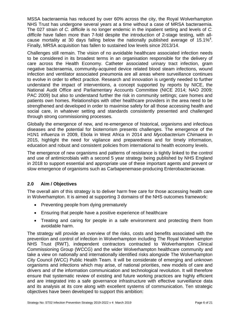MSSA bacteraemia has reduced by over 60% across the city, the Royal Wolverhampton NHS Trust has undergone several years at a time without a case of MRSA bacteraemia. The 027 strain of *C. difficile* is no longer endemic in the inpatient setting and levels of *C. difficile* have fallen more than 7-fold despite the introduction of 2-stage testing, with allcause mortality at 30 days falling below the nationally published average of 15.1%<sup>4</sup>. Finally, MRSA acquisition has fallen to sustained low levels since 2013/14.

Challenges still remain. The vision of no avoidable healthcare associated infection needs to be considered in its broadest terms in an organisation responsible for the delivery of care across the Health Economy. Catheter associated urinary tract infection, gram negative bacteraemia, community-acquired device related blood steam infections, wound infection and ventilator associated pneumonia are all areas where surveillance continues to evolve in order to effect practice. Research and innovation is urgently needed to further understand the impact of interventions, a concept supported by reports by NICE, the National Audit Office and Parliamentary Accounts Committee (NICE 2014; NAO 2009; PAC 2009) but also to understand further the risk in community settings; care homes and patients own homes. Relationships with other healthcare providers in the area need to be strengthened and developed in order to maximise safety for all those accessing health and social care, in whatever setting and standards consistently presented and challenged through strong commissioning processes.

Globally the emergence of new, and re-emergence of historical, organisms and infectious diseases and the potential for bioterrorism presents challenges. The emergence of the H1N1 influenza in 2009, Ebola in West Africa in 2014 and *Mycobacterium Chimaera* in 2015, highlight the need for vigilance and preparedness and for timely information, education and robust and consistent policies from international to health economy levels.

The emergence of new organisms and patterns of resistance is tightly linked to the control and use of antimicrobials with a second 5 year strategy being published by NHS England in 2018 to support essential and appropriate use of these important agents and prevent or slow emergence of organisms such as Carbapenemase-producing Enterobacteriaceae.

# <span id="page-8-0"></span>**2.0 Aim / Objectives**

The overall aim of this strategy is to deliver harm free care for those accessing health care in Wolverhampton. It is aimed at supporting 3 domains of the NHS outcomes framework:

- Preventing people from dying prematurely
- Ensuring that people have a positive experience of healthcare
- Treating and caring for people in a safe environment and protecting them from avoidable harm.

The strategy will provide an overview of the risks, costs and benefits associated with the prevention and control of infection in Wolverhampton including The Royal Wolverhampton NHS Trust (RWT), independent contractors contracted to Wolverhampton Clinical Commissioning Group (WCCG) and the wider Wolverhampton healthcare community and take a view on nationally and internationally identified risks alongside The Wolverhampton City Council (WCC) Public Health Team. It will be considerate of emerging and unknown organisms and infections which may arise, of national priorities, new models of care and drivers and of the information communication and technological revolution. It will therefore ensure that systematic review of existing and future working practices are highly efficient and are integrated into a safe governance infrastructure with effective surveillance data and its analysis at its core along with excellent systems of communication. Ten strategic objectives have been developed to support this ambition: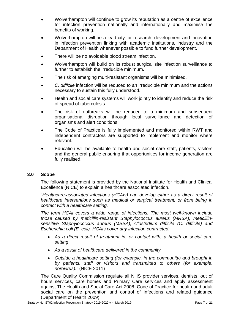- Wolverhampton will continue to grow its reputation as a centre of excellence for infection prevention nationally and internationally and maximise the benefits of working.
- Wolverhampton will be a lead city for research, development and innovation in infection prevention linking with academic institutions, industry and the Department of Health whenever possible to fund further development.
- There will be no avoidable blood stream infection.
- Wolverhampton will build on its robust surgical site infection surveillance to further to establish the irreducible minimum.
- The risk of emerging multi-resistant organisms will be minimised.
- *C. difficile* infection will be reduced to an irreducible minimum and the actions necessary to sustain this fully understood.
- Health and social care systems will work jointly to identify and reduce the risk of spread of tuberculosis.
- The risk of outbreaks will be reduced to a minimum and subsequent organisational disruption through local surveillance and detection of organisms and alert conditions.
- The Code of Practice is fully implemented and monitored within RWT and independent contractors are supported to implement and monitor where relevant.
- Education will be available to health and social care staff, patients, visitors and the general public ensuring that opportunities for income generation are fully realised.

# <span id="page-9-0"></span>**3.0 Scope**

The following statement is provided by the National Institute for Health and Clinical Excellence (NICE) to explain a healthcare associated infection.

"*Healthcare-associated infections (HCAIs) can develop either as a direct result of healthcare interventions such as medical or surgical treatment, or from being in contact with a healthcare setting.*

*The term HCAI covers a wide range of infections. The most well-known include those caused by meticillin-resistant Staphylococcus aureus (MRSA), meticillinsensitive Staphylococcus aureus (MSSA), Clostridium difficile (C. difficile) and Escherichia coli (E. coli). HCAIs cover any infection contracted:*

- *As a direct result of treatment in, or contact with, a health or social care setting*
- *As a result of healthcare delivered in the community*
- *Outside a healthcare setting (for example, in the community) and brought in by patients, staff or visitors and transmitted to others (for example, norovirus)."* (NICE 2011)

The Care Quality Commission regulate all NHS provider services, dentists, out of hours services, care homes and Primary Care services and apply assessment against The Health and Social Care Act 2008: Code of Practice for health and adult social care on the prevention and control of infections and related guidance (Department of Health 2009).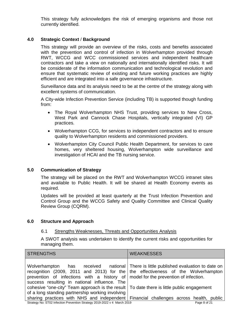This strategy fully acknowledges the risk of emerging organisms and those not currently identified.

# <span id="page-10-0"></span>**4.0 Strategic Context** / **Background**

This strategy will provide an overview of the risks, costs and benefits associated with the prevention and control of infection in Wolverhampton provided through RWT, WCCG and WCC commissioned services and independent healthcare contractors and take a view on nationally and internationally identified risks. It will be considerate of the information communication and technological revolution and ensure that systematic review of existing and future working practices are highly efficient and are integrated into a safe governance infrastructure.

Surveillance data and its analysis need to be at the centre of the strategy along with excellent systems of communication.

A City-wide Infection Prevention Service (including TB) is supported though funding from:

- The Royal Wolverhampton NHS Trust, providing services to New Cross, West Park and Cannock Chase Hospitals, vertically integrated (VI) GP practices.
- Wolverhampton CCG, for services to independent contractors and to ensure quality to Wolverhampton residents and commissioned providers.
- Wolverhampton City Council Public Health Department, for services to care homes, very sheltered housing, Wolverhampton wide surveillance and investigation of HCAI and the TB nursing service.

# <span id="page-10-1"></span>**5.0 Communication of Strategy**

The strategy will be placed on the RWT and Wolverhampton WCCG intranet sites and available to Public Health. It will be shared at Health Economy events as required.

Updates will be provided at least quarterly at the Trust Infection Prevention and Control Group and the WCCG Safety and Quality Committee and Clinical Quality Review Group (CQRM).

# <span id="page-10-3"></span><span id="page-10-2"></span>**6.0 Structure and Approach**

#### 6.1 Strengths Weaknesses, Threats and Opportunities Analysis

A SWOT analysis was undertaken to identify the current risks and opportunities for managing them.

| <b>STRENGTHS</b>                                                                                                                                                                                                                                                                                             | <b>WEAKNESSES</b> |
|--------------------------------------------------------------------------------------------------------------------------------------------------------------------------------------------------------------------------------------------------------------------------------------------------------------|-------------------|
| Wolverhampton has received national There is little published evaluation to date on<br>recognition (2009, 2011 and 2013) for the the effectiveness of the Wolverhampton<br>prevention of infections with a history of model for the prevention of infection.<br>success resulting in national influence. The |                   |
| cohesive "one-city" Team approach is the result   To date there is little public engagement<br>of a long standing partnership working involving                                                                                                                                                              |                   |
| sharing practices with NHS and independent Financial challenges across health, public                                                                                                                                                                                                                        |                   |
| Strategy No: ST02 Infection Prevention Strategy 2019-2022 v 4 March 2019                                                                                                                                                                                                                                     | Page 8 of 21      |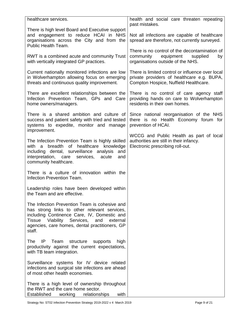| healthcare services.                                                                                                                                                                                                                                                | health and social care threaten repeating<br>past mistakes.                                                                             |
|---------------------------------------------------------------------------------------------------------------------------------------------------------------------------------------------------------------------------------------------------------------------|-----------------------------------------------------------------------------------------------------------------------------------------|
| There is high level Board and Executive support<br>and engagement to reduce HCAI in NHS<br>organisations across the City and from the<br>Public Health Team.                                                                                                        | Not all infections are capable of healthcare<br>spread are therefore, not currently surveyed.                                           |
| RWT is a combined acute and community Trust<br>with vertically integrated GP practices.                                                                                                                                                                             | There is no control of the decontamination of<br>community equipment supplied<br>by<br>organisations outside of the NHS.                |
| Current nationally monitored infections are low<br>in Wolverhampton allowing focus on emerging<br>threats and continuous quality improvement.                                                                                                                       | There is limited control or influence over local<br>private providers of healthcare e.g. BUPA,<br>Compton Hospice, Nuffield Healthcare. |
| There are excellent relationships between the<br>Infection Prevention Team, GPs and Care<br>home owners/managers.                                                                                                                                                   | There is no control of care agency staff<br>providing hands on care to Wolverhampton<br>residents in their own homes.                   |
| There is a shared ambition and culture of<br>success and patient safety with tried and tested<br>systems to expedite, monitor and manage<br>improvement.                                                                                                            | Since national reorganisation of the NHS<br>there is no Health Economy forum for<br>prevention of HCAI.                                 |
| The Infection Prevention Team is highly skilled<br>breadth of healthcare knowledge<br>with a<br>including dental, surveillance analysis<br>and<br>interpretation, care services, acute<br>and<br>community healthcare.                                              | WCCG and Public Health as part of local<br>authorities are still in their infancy.<br>Electronic prescribing roll-out.                  |
| There is a culture of innovation within the<br>Infection Prevention Team.                                                                                                                                                                                           |                                                                                                                                         |
| Leadership roles have been developed within<br>the Team and are effective.                                                                                                                                                                                          |                                                                                                                                         |
| The Infection Prevention Team is cohesive and<br>has strong links to other relevant services,<br>including Continence Care, IV, Domestic and<br>Viability Services,<br><b>Tissue</b><br>and<br>external<br>agencies, care homes, dental practitioners, GP<br>staff. |                                                                                                                                         |
| Team<br>structure<br><b>The</b><br>IP.<br>supports<br>high<br>productivity against the current expectations,<br>with TB team integration.                                                                                                                           |                                                                                                                                         |
| Surveillance systems for IV device related<br>infections and surgical site infections are ahead<br>of most other health economies.                                                                                                                                  |                                                                                                                                         |
| There is a high level of ownership throughout<br>the RWT and the care home sector.<br>Established<br>relationships<br>with<br>working                                                                                                                               |                                                                                                                                         |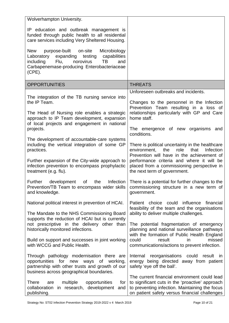| Wolverhampton University.                                                                                                                                                                                 |                                                                                                                                                                                                    |
|-----------------------------------------------------------------------------------------------------------------------------------------------------------------------------------------------------------|----------------------------------------------------------------------------------------------------------------------------------------------------------------------------------------------------|
| IP education and outbreak management is<br>funded through public health to all residential<br>care services including Very Sheltered Housing.                                                             |                                                                                                                                                                                                    |
| New<br>purpose-built<br>on-site<br>Microbiology<br>Laboratory expanding testing<br>capabilities<br>including<br>Flu,<br>norovirus<br>TB<br>and<br>Carbapenemase-producing Enterobacteriaceae<br>$(CPE)$ . |                                                                                                                                                                                                    |
| <b>OPPORTUNITIES</b>                                                                                                                                                                                      | <b>THREATS</b>                                                                                                                                                                                     |
|                                                                                                                                                                                                           | Unforeseen outbreaks and incidents.                                                                                                                                                                |
| The integration of the TB nursing service into<br>the IP Team.<br>The Head of Nursing role enables a strategic<br>approach to IP Team development, expansion                                              | Changes to the personnel in the Infection<br>Prevention Team resulting in a loss of<br>relationships particularly with GP and Care<br>home staff.                                                  |
| of local projects and engagement in national<br>projects.                                                                                                                                                 | The emergence of new organisms and<br>conditions.                                                                                                                                                  |
| The development of accountable-care systems<br>including the vertical integration of some GP<br>practices.                                                                                                | There is political uncertainty in the healthcare<br>environment,<br>role<br><b>Infection</b><br>the<br>that<br>Prevention will have in the achievement of                                          |
| Further expansion of the City-wide approach to<br>infection prevention to encompass prophylactic<br>treatment (e.g. flu).                                                                                 | performance criteria and where it will be<br>placed from a commissioning perspective in<br>the next term of government.                                                                            |
| Further<br>development<br>the<br>of<br>Prevention/TB Team to encompass wider skills<br>and knowledge.                                                                                                     | Infection   There is a potential for further changes to the<br>commissioning structure in a new term of<br>government.                                                                             |
| National political interest in prevention of HCAI.<br>The Mandate to the NHS Commissioning Board                                                                                                          | Patient choice could influence<br>financial<br>feasibility of the team and the organisations<br>ability to deliver multiple challenges.                                                            |
| supports the reduction of HCAI but is currently                                                                                                                                                           |                                                                                                                                                                                                    |
| not prescriptive in the delivery other than<br>historically monitored infections.                                                                                                                         | The potential fragmentation of emergency<br>planning and national surveillance pathways<br>with the formation of Public Health England                                                             |
| Build on support and successes in joint working<br>with WCCG and Public Health.                                                                                                                           | could<br>missed<br>result<br>in<br>communications/actions to prevent infection.                                                                                                                    |
| Through pathology modernisation there are<br>opportunities for new ways of working,<br>partnership with other trusts and growth of our<br>business across geographical boundaries.                        | Internal reorganisations could result<br><b>in</b><br>energy being directed away from patient<br>safety 'eye off the ball'.                                                                        |
| <b>There</b><br>multiple<br>opportunities<br>for<br>are<br>collaboration in research, development<br>and<br>publishing.                                                                                   | The current financial environment could lead<br>to significant cuts in the 'proactive' approach<br>to preventing infection. Maintaining the focus<br>on patient safety versus financial challenges |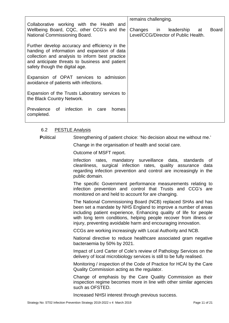|                                                                                                                                                                                                                                       | remains challenging.                                                         |
|---------------------------------------------------------------------------------------------------------------------------------------------------------------------------------------------------------------------------------------|------------------------------------------------------------------------------|
| Collaborative working with the Health and<br>Wellbeing Board, CQC, other CCG's and the<br>National Commissioning Board.                                                                                                               | Changes in leadership<br>Board<br>at<br>Level/CCG/Director of Public Health. |
| Further develop accuracy and efficiency in the<br>handing of information and expansion of data<br>collection and analysis to inform best practice<br>and anticipate threats to business and patient<br>safety though the digital age. |                                                                              |
| Expansion of OPAT services to admission<br>avoidance of patients with infections.                                                                                                                                                     |                                                                              |
| Expansion of the Trusts Laboratory services to<br>the Black Country Network.                                                                                                                                                          |                                                                              |
| Prevalence of infection in<br>care<br>homes<br>completed.                                                                                                                                                                             |                                                                              |

# <span id="page-13-0"></span>6.2 PESTLE Analysis

**Political Strengthening of patient choice: 'No decision about me without me.'** 

Change in the organisation of health and social care.

Outcome of MSFT report.

Infection rates, mandatory surveillance data, standards of cleanliness, surgical infection rates, quality assurance data regarding infection prevention and control are increasingly in the public domain.

The specific Government performance measurements relating to infection prevention and control that Trusts and CCG's are monitored on and held to account for are changing.

The National Commissioning Board (NCB) replaced SHAs and has been set a mandate by NHS England to improve a number of areas including patient experience, Enhancing quality of life for people with long term conditions, helping people recover from illness or injury, preventing avoidable harm and encouraging innovation.

CCGs are working increasingly with Local Authority and NCB.

National directive to reduce healthcare associated gram negative bacteraemia by 50% by 2021.

Impact of Lord Carter of Cole's review of Pathology Services on the delivery of local microbiology services is still to be fully realised.

Monitoring / inspection of the Code of Practice for HCAI by the Care Quality Commission acting as the regulator.

Change of emphasis by the Care Quality Commission as their inspection regime becomes more in line with other similar agencies such as OFSTED.

Increased NHSI interest through previous success.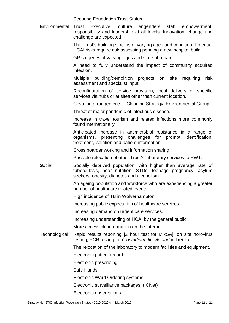Securing Foundation Trust Status.

**E**nvironmental Trust Executive: culture engenders staff empowerment, responsibility and leadership at all levels. Innovation, change and challenge are expected.

> The Trust's building stock is of varying ages and condition. Potential HCAI risks require risk assessing pending a new hospital build.

GP surgeries of varying ages and state of repair.

A need to fully understand the impact of community acquired infection.

Multiple building/demolition projects on site requiring risk assessment and specialist input.

Reconfiguration of service provision; local delivery of specific services via hubs or at sites other than current location.

Cleaning arrangements – Cleaning Strategy, Environmental Group.

Threat of major pandemic of infectious disease.

Increase in travel tourism and related infections more commonly found internationally.

Anticipated increase in antimicrobial resistance in a range of organisms, presenting challenges for prompt identification, treatment, isolation and patient information.

Cross boarder working and information sharing.

Possible relocation of other Trust's laboratory services to RWT.

**Social Socially deprived population, with higher than average rate of** tuberculosis, poor nutrition, STDs, teenage pregnancy, asylum seekers, obesity, diabetes and alcoholism.

> An ageing population and workforce who are experiencing a greater number of healthcare related events.

High incidence of TB in Wolverhampton.

Increasing public expectation of healthcare services.

Increasing demand on urgent care services.

Increasing understanding of HCAI by the general public.

More accessible information on the Internet.

**T**echnological Rapid results reporting [2 hour test for MRSA], on site norovirus testing, PCR testing for *Clostridium difficile and* influenza.

The relocation of the laboratory to modern facilities and equipment.

Electronic patient record.

Electronic prescribing.

Safe Hands.

Electronic Ward Ordering systems.

Electronic surveillance packages. (ICNet)

Electronic observations.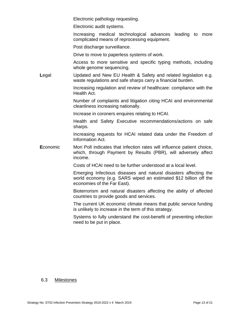Electronic pathology requesting.

Electronic audit systems.

Increasing medical technological advances leading to more complicated means of reprocessing equipment.

Post discharge surveillance.

Drive to move to paperless systems of work.

Access to more sensitive and specific typing methods, including whole genome sequencing.

Legal Updated and New EU Health & Safety and related legislation e.g. waste regulations and safe sharps carry a financial burden.

> Increasing regulation and review of healthcare: compliance with the Health Act.

> Number of complaints and litigation citing HCAI and environmental cleanliness increasing nationally.

Increase in coroners enquires relating to HCAI.

Health and Safety Executive recommendations/actions on safe sharps.

Increasing requests for HCAI related data under the Freedom of Information Act.

**Economic** Mori Poll indicates that infection rates will influence patient choice, which, through Payment by Results (PBR), will adversely affect income.

Costs of HCAI need to be further understood at a local level.

Emerging Infectious diseases and natural disasters affecting the world economy (e.g. SARS wiped an estimated \$12 billion off the economies of the Far East).

Bioterrorism and natural disasters affecting the ability of affected countries to provide goods and services.

The current UK economic climate means that public service funding is unlikely to increase in the term of this strategy.

Systems to fully understand the cost-benefit of preventing infection need to be put in place.

#### <span id="page-15-0"></span>6.3 Milestones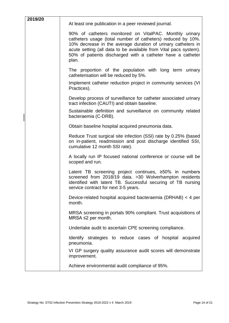| 2019/20 | At least one publication in a peer reviewed journal.                                                                                                                                                                                                                                                                              |
|---------|-----------------------------------------------------------------------------------------------------------------------------------------------------------------------------------------------------------------------------------------------------------------------------------------------------------------------------------|
|         | 90% of catheters monitored on VitalPAC. Monthly urinary<br>catheters usage (total number of catheters) reduced by 10%.<br>10% decrease in the average duration of urinary catheters in<br>acute setting (all data to be available from Vital pacs system).<br>50% of patients discharged with a catheter have a catheter<br>plan. |
|         | The proportion of the population with long term urinary<br>catheterisation will be reduced by 5%.                                                                                                                                                                                                                                 |
|         | Implement catheter reduction project in community services (VI)<br>Practices).                                                                                                                                                                                                                                                    |
|         | Develop process of surveillance for catheter associated urinary<br>tract infection (CAUTI) and obtain baseline.                                                                                                                                                                                                                   |
|         | Sustainable definition and surveillance on community related<br>bacteraemia (C-DRB).                                                                                                                                                                                                                                              |
|         | Obtain baseline hospital acquired pneumonia data.                                                                                                                                                                                                                                                                                 |
|         | Reduce Trust surgical site infection (SSI) rate by 0.25% (based<br>on in-patient, readmission and post discharge identified SSI,<br>cumulative 12 month SSI rate).                                                                                                                                                                |
|         | A locally run IP focused national conference or course will be<br>scoped and run.                                                                                                                                                                                                                                                 |
|         | Latent TB screening project continues, $\geq 50\%$ in numbers<br>screened from 2018/19 data. >30 Wolverhampton residents<br>identified with latent TB. Successful securing of TB nursing<br>service contract for next 3-5 years.                                                                                                  |
|         | Device-related hospital acquired bacteraemia (DRHAB) < 4 per<br>month.                                                                                                                                                                                                                                                            |
|         | MRSA screening in portals 90% compliant. Trust acquisitions of<br>MRSA ≤2 per month.                                                                                                                                                                                                                                              |
|         | Undertake audit to ascertain CPE screening compliance.                                                                                                                                                                                                                                                                            |
|         | Identify strategies to reduce cases of hospital acquired<br>pneumonia.                                                                                                                                                                                                                                                            |
|         | VI GP surgery quality assurance audit scores will demonstrate<br>improvement.                                                                                                                                                                                                                                                     |
|         | Achieve environmental audit compliance of 95%.                                                                                                                                                                                                                                                                                    |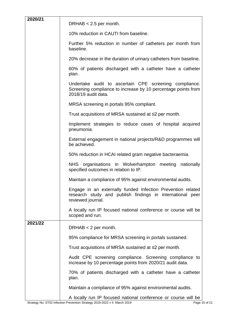| 2020/21 | DRHAB $< 2.5$ per month.                                                                                                                       |  |  |
|---------|------------------------------------------------------------------------------------------------------------------------------------------------|--|--|
|         | 10% reduction in CAUTI from baseline.                                                                                                          |  |  |
|         | Further 5% reduction in number of catheters per month from<br>baseline.                                                                        |  |  |
|         | 20% decrease in the duration of urinary catheters from baseline.                                                                               |  |  |
|         | 60% of patients discharged with a catheter have a catheter<br>plan.                                                                            |  |  |
|         | Undertake audit to ascertain CPE screening compliance.<br>Screening compliance to increase by 10 percentage points from<br>2018/19 audit data. |  |  |
|         | MRSA screening in portals 95% compliant.                                                                                                       |  |  |
|         | Trust acquisitions of MRSA sustained at $\leq 2$ per month.                                                                                    |  |  |
|         | Implement strategies to reduce cases of hospital acquired<br>pneumonia.                                                                        |  |  |
|         | External engagement in national projects/R&D programmes will<br>be achieved.                                                                   |  |  |
|         | 50% reduction in HCAI related gram negative bacteraemia.                                                                                       |  |  |
|         | NHS organisations in Wolverhampton meeting<br>nationally<br>specified outcomes in relation to IP.                                              |  |  |
|         | Maintain a compliance of 95% against environmental audits.                                                                                     |  |  |
|         | Engage in an externally funded Infection Prevention related<br>research study and publish findings in international peer<br>reviewed journal.  |  |  |
|         | A locally run IP focused national conference or course will be<br>scoped and run.                                                              |  |  |
| 2021/22 | DRHAB $<$ 2 per month.                                                                                                                         |  |  |
|         | 95% compliance for MRSA screening in portals sustained.                                                                                        |  |  |
|         | Trust acquisitions of MRSA sustained at $\leq 2$ per month.                                                                                    |  |  |
|         | Audit CPE screening compliance. Screening compliance to<br>increase by 10 percentage points from 2020/21 audit data.                           |  |  |
|         | 70% of patients discharged with a catheter have a catheter<br>plan.                                                                            |  |  |
|         | Maintain a compliance of 95% against environmental audits.                                                                                     |  |  |
|         | A locally run IP focused national conference or course will be                                                                                 |  |  |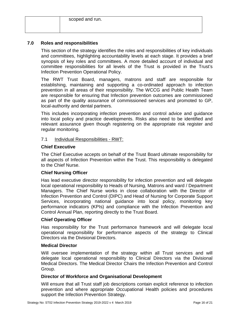# <span id="page-18-0"></span>**7.0 Roles and responsibilities**

This section of the strategy identifies the roles and responsibilities of key individuals and committees, highlighting accountability levels at each stage. It provides a brief synopsis of key roles and committees. A more detailed account of individual and committee responsibilities for all levels of the Trust is provided in the Trust's Infection Prevention Operational Policy.

The RWT Trust Board, managers, matrons and staff are responsible for establishing, maintaining and supporting a co-ordinated approach to infection prevention in all areas of their responsibility. The WCCG and Public Health Team are responsible for ensuring that Infection prevention outcomes are commissioned as part of the quality assurance of commissioned services and promoted to GP, local-authority and dental partners.

This includes incorporating infection prevention and control advice and guidance into local policy and practice developments. Risks also need to be identified and relevant assurance given though registering on the appropriate risk register and regular monitoring.

#### <span id="page-18-1"></span>7.1 Individual Responsibilities - RWT:

#### **Chief Executive**

The Chief Executive accepts on behalf of the Trust Board ultimate responsibility for all aspects of Infection Prevention within the Trust. This responsibility is delegated to the Chief Nurse.

# **Chief Nursing Officer**

Has lead executive director responsibility for infection prevention and will delegate local operational responsibility to Heads of Nursing, Matrons and ward / Department Managers. The Chief Nurse works in close collaboration with the Director of Infection Prevention and Control (DIPC) and Head of Nursing for Corporate Support Services, incorporating national guidance into local policy, monitoring key performance indicators (KPIs) and compliance with the Infection Prevention and Control Annual Plan, reporting directly to the Trust Board.

#### **Chief Operating Officer**

Has responsibility for the Trust performance framework and will delegate local operational responsibility for performance aspects of the strategy to Clinical Directors via the Divisional Directors.

#### **Medical Director**

Will oversee implementation of the strategy within all Trust services and will delegate local operational responsibility to Clinical Directors via the Divisional Medical Directors. The Medical Director Chairs the Infection Prevention and Control Group.

#### **Director of Workforce and Organisational Development**

Will ensure that all Trust staff job descriptions contain explicit reference to infection prevention and where appropriate Occupational Health policies and procedures support the Infection Prevention Strategy.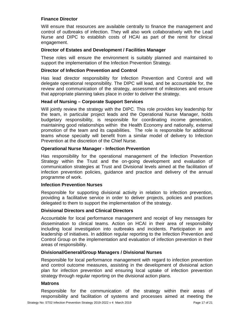# **Finance Director**

Will ensure that resources are available centrally to finance the management and control of outbreaks of infection. They will also work collaboratively with the Lead Nurse and DIPC to establish costs of HCAI as part of the remit for clinical engagement.

#### **Director of Estates and Development / Facilities Manager**

These roles will ensure the environment is suitably planned and maintained to support the implementation of the Infection Prevention Strategy.

#### **Director of Infection Prevention and Control**

Has lead director responsibility for Infection Prevention and Control and will delegate operational responsibility. The DIPC will lead, and be accountable for, the review and communication of the strategy, assessment of milestones and ensure that appropriate planning takes place in order to deliver the strategy.

#### **Head of Nursing – Corporate Support Services**

Will jointly review the strategy with the DIPC. This role provides key leadership for the team, in particular project leads and the Operational Nurse Manager, holds budgetary responsibility, is responsible for coordinating income generation, maintaining good relationships within the Health Economy and nationally, external promotion of the team and its capabilities. The role is responsible for additional teams whose specialty will benefit from a similar model of delivery to Infection Prevention at the discretion of the Chief Nurse.

#### **Operational Nurse Manager - Infection Prevention**

Has responsibility for the operational management of the Infection Prevention Strategy within the Trust and the on-going development and evaluation of communication strategies at Trust and Divisional levels aimed at the facilitation of infection prevention policies, guidance and practice and delivery of the annual programme of work.

#### **Infection Prevention Nurses**

Responsible for supporting divisional activity in relation to infection prevention, providing a facilitative service in order to deliver projects, policies and practices delegated to them to support the implementation of the strategy.

# **Divisional Directors and Clinical Directors**

Accountable for local performance management and receipt of key messages for dissemination to clinical teams. Action on HCAI in their area of responsibility including local investigation into outbreaks and incidents. Participation in and leadership of initiatives. In addition regular reporting to the Infection Prevention and Control Group on the implementation and evaluation of infection prevention in their areas of responsibility.

#### **Divisional/General/Group Managers / Divisional Nurses**

Responsible for local performance management with regard to infection prevention and control outcome measures, assisting in the development of divisional action plan for infection prevention and ensuring local uptake of infection prevention strategy through regular reporting on the divisional action plans.

#### **Matrons**

Responsible for the communication of the strategy within their areas of responsibility and facilitation of systems and processes aimed at meeting the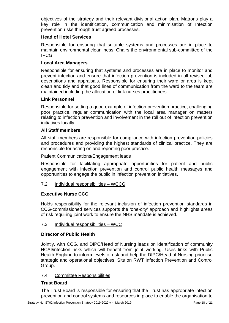objectives of the strategy and their relevant divisional action plan. Matrons play a key role in the identification, communication and minimisation of Infection prevention risks through trust agreed processes.

# **Head of Hotel Services**

Responsible for ensuring that suitable systems and processes are in place to maintain environmental cleanliness. Chairs the environmental sub-committee of the IPCG.

# **Local Area Managers**

Responsible for ensuring that systems and processes are in place to monitor and prevent infection and ensure that infection prevention is included in all revised job descriptions and appraisals. Responsible for ensuring their ward or area is kept clean and tidy and that good lines of communication from the ward to the team are maintained including the allocation of link nurses practitioners.

#### **Link Personnel**

Responsible for setting a good example of infection prevention practice, challenging poor practice, regular communication with the local area manager on matters relating to infection prevention and involvement in the roll out of infection prevention initiatives locally.

# **All Staff members**

All staff members are responsible for compliance with infection prevention policies and procedures and providing the highest standards of clinical practice. They are responsible for acting on and reporting poor practice.

Patient Communications/Engagement leads

Responsible for facilitating appropriate opportunities for patient and public engagement with infection prevention and control public health messages and opportunities to engage the public in infection prevention initiatives.

# <span id="page-20-0"></span>7.2 Individual responsibilities – WCCG

# **Executive Nurse CCG**

Holds responsibility for the relevant inclusion of infection prevention standards in CCG-commissioned services supports the 'one-city' approach and highlights areas of risk requiring joint work to ensure the NHS mandate is achieved.

# <span id="page-20-1"></span>7.3 Individual responsibilities – WCC

# **Director of Public Health**

Jointly, with CCG, and DIPC/Head of Nursing leads on identification of community HCAI/infection risks which will benefit from joint working. Uses links with Public Health England to inform levels of risk and help the DIPC/Head of Nursing prioritise strategic and operational objectives. Sits on RWT Infection Prevention and Control Group.

#### <span id="page-20-2"></span>7.4 Committee Responsibilities

# **Trust Board**

The Trust Board is responsible for ensuring that the Trust has appropriate infection prevention and control systems and resources in place to enable the organisation to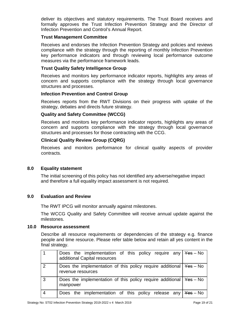deliver its objectives and statutory requirements. The Trust Board receives and formally approves the Trust Infection Prevention Strategy and the Director of Infection Prevention and Control's Annual Report.

# **Trust Management Committee**

Receives and endorses the Infection Prevention Strategy and policies and reviews compliance with the strategy through the reporting of monthly Infection Prevention key performance indicators and through reviewing local performance outcome measures via the performance framework leads.

# **Trust Quality Safety Intelligence Group**

Receives and monitors key performance indicator reports, highlights any areas of concern and supports compliance with the strategy through local governance structures and processes.

#### **Infection Prevention and Control Group**

Receives reports from the RWT Divisions on their progress with uptake of the strategy, debates and directs future strategy.

# **Quality and Safety Committee (WCCG)**

Receives and monitors key performance indicator reports, highlights any areas of concern and supports compliance with the strategy through local governance structures and processes for those contracting with the CCG.

#### **Clinical Quality Review Group (CQRG)**

Receives and monitors performance for clinical quality aspects of provider contracts.

#### <span id="page-21-0"></span>**8.0 Equality statement**

The initial screening of this policy has not identified any adverse/negative impact and therefore a full equality impact assessment is not required.

#### <span id="page-21-1"></span>**9.0 Evaluation and Review**

The RWT IPCG will monitor annually against milestones.

The WCCG Quality and Safety Committee will receive annual update against the milestones.

#### <span id="page-21-2"></span>**10.0 Resource assessment**

Describe all resource requirements or dependencies of the strategy e.g. finance people and time resource. Please refer table below and retain all yes content in the final strategy.

|                | Does the implementation of this policy require any $\frac{1}{1}$ Yes - No<br>additional Capital resources |  |
|----------------|-----------------------------------------------------------------------------------------------------------|--|
| 2              | Does the implementation of this policy require additional $\frac{1}{1}$ Yes – No<br>revenue resources     |  |
| $\mathbf{3}$   | Does the implementation of this policy require additional $\frac{1}{1}$ Yes – No<br>manpower              |  |
| $\overline{4}$ | Does the implementation of this policy release any $\frac{1}{1}$ Yes - No                                 |  |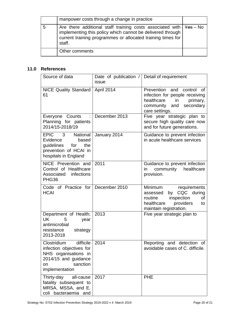| manpower costs through a change in practice                                                                                                                                                                             |  |
|-------------------------------------------------------------------------------------------------------------------------------------------------------------------------------------------------------------------------|--|
| Are there additional staff training costs associated with $\frac{1}{1}$ Yes - No<br>implementing this policy which cannot be delivered through<br>current training programmes or allocated training times for<br>staff. |  |
| Other comments                                                                                                                                                                                                          |  |

# <span id="page-22-0"></span>**11.0 References**

| Source of data                                                                                                                           | Date of publication / Detail of requirement<br>issue |                                                                                                                                                |
|------------------------------------------------------------------------------------------------------------------------------------------|------------------------------------------------------|------------------------------------------------------------------------------------------------------------------------------------------------|
| <b>NICE Quality Standard</b><br>61                                                                                                       | April 2014                                           | Prevention and control<br>0f<br>infection for people receiving<br>healthcare<br>in<br>primary,<br>community and<br>secondary<br>care settings. |
| Everyone Counts :<br>Planning for patients<br>2014/15-2018/19                                                                            | December 2013                                        | Five year strategic plan to<br>secure high quality care now<br>and for future generations.                                                     |
| <b>EPIC</b><br>3<br>National<br>Evidence<br>based<br>guidelines<br>for<br>the<br>prevention of HCAI in<br>hospitals in England           | January 2014                                         | Guidance to prevent infection<br>in acute healthcare services                                                                                  |
| NICE Prevention and<br>Control of Healthcare<br>Associated infections<br>PHG36                                                           | 2011                                                 | Guidance to prevent infection<br>community healthcare<br>in.<br>provision.                                                                     |
| Code of Practice for December 2010<br><b>HCAI</b>                                                                                        |                                                      | Minimum requirements<br>CQC during<br>by<br>assessed<br>routine<br>inspection<br>οf<br>healthcare<br>providers<br>to<br>maintain registration. |
| Department of Health;<br>UK<br>5<br>year<br>antimicrobial<br>resistance<br>strategy<br>2013-2018                                         | 2013                                                 | Five year strategic plan to                                                                                                                    |
| difficile<br>Clostridium<br>infection objectives for<br>NHS organisations in<br>2014/15 and guidance<br>sanction<br>on<br>implementation | 2014                                                 | Reporting and detection<br>of<br>avoidable cases of C. difficile.                                                                              |
| Thirty-day<br>all-cause<br>fatality subsequent to<br>MRSA, MSSA, and E.<br>coli bacteraemia and                                          | 2017                                                 | <b>PHE</b>                                                                                                                                     |